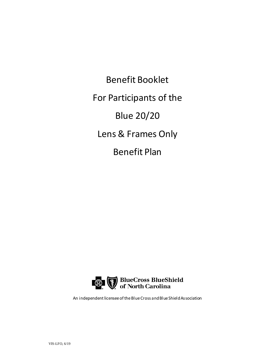Benefit Booklet For Participants of the Blue 20/20 Lens & Frames Only Benefit Plan



An independent licensee of the Blue Cross and Blue Shield Association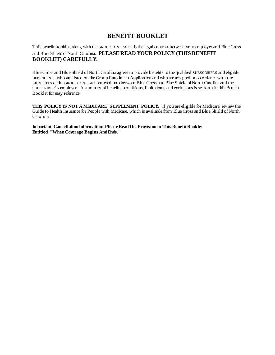# **BENEFIT BOOKLET**

This benefit booklet, along with the GROUP CONTRACT, is the legal contract between your employer and Blue Cross and Blue Shield of North Carolina. **PLEASE READ YOUR POLICY (THIS BENEFIT BOOKLET) CAREFULLY.**

Blue Cross and Blue Shield of North Carolina agrees to provide benefits to the qualified SUBSCRIBERS and eligible DEPENDENTS who are listed on the Group Enrollment Application and who are accepted in accordance with the provisions of the GROUP CONTRACT entered into between Blue Cross and Blue Shield of North Carolina and the SUBSCRIBER'S employer. A summary of benefits, conditions, limitations, and exclusions is set forth in this Benefit Booklet for easy reference.

**THIS POLICY IS NOT A MEDICARE SUPPLEMENT POLICY.** If you are eligible for Medicare, review the Guide to Health Insurance for People with Medicare, which is available from Blue Cross and Blue Shield of North Carolina.

**Important Cancellation Information: Please Read The Provision In This Benefit Booklet Entitled, "When Coverage Begins And Ends."**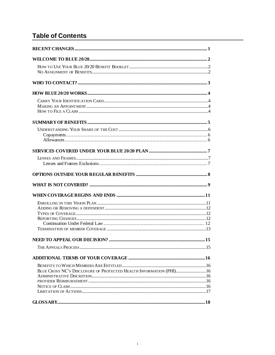# **Table of Contents**

| BLUE CROSS NC'S DISCLOSURE OF PROTECTED HEALTH INFORMATION (PHI) 16 |  |
|---------------------------------------------------------------------|--|
|                                                                     |  |
|                                                                     |  |
|                                                                     |  |
|                                                                     |  |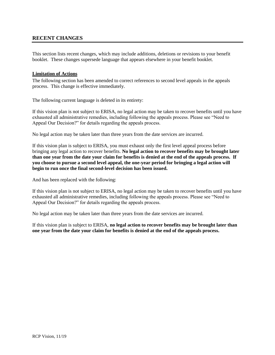# **RECENT CHANGES**

This section lists recent changes, which may include additions, deletions or revisions to your benefit booklet. These changes supersede language that appears elsewhere in your benefit booklet.

### **Limitation of Actions**

The following section has been amended to correct references to second level appeals in the appeals process. This change is effective immediately.

The following current language is deleted in its entirety:

If this vision plan is not subject to ERISA, no legal action may be taken to recover benefits until you have exhausted all administrative remedies, including following the appeals process. Please see "Need to Appeal Our Decision?" for details regarding the appeals process.

No legal action may be taken later than three years from the date services are incurred.

If this vision plan is subject to ERISA, you must exhaust only the first level appeal process before bringing any legal action to recover benefits. **No legal action to recover benefits may be brought later than one year from the date your claim for benefits is denied at the end of the appeals process. If you choose to pursue a second level appeal, the one-year period for bringing a legal action will begin to run once the final second-level decision has been issued.**

And has been replaced with the following:

If this vision plan is not subject to ERISA, no legal action may be taken to recover benefits until you have exhausted all administrative remedies, including following the appeals process. Please see "Need to Appeal Our Decision?" for details regarding the appeals process.

No legal action may be taken later than three years from the date services are incurred.

If this vision plan is subject to ERISA, **no legal action to recover benefits may be brought later than one year from the date your claim for benefits is denied at the end of the appeals process.**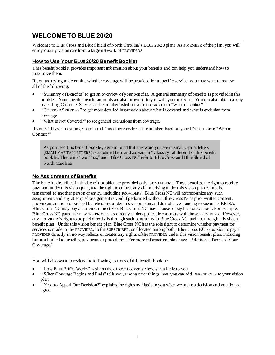# <span id="page-5-0"></span>**WELCOME TO BLUE 20/20**

Welcome to Blue Cross and Blue Shield of North Carolina's BLUE 20/20 plan! As a MEMBER of the plan, you will enjoy quality vision care from a large network of PROVIDERS.

# <span id="page-5-1"></span>**How to Use Your BLUE 20/20 Benefit Booklet**

This benefit booklet provides important information about your benefits and can help you understand how to maximize them.

If you are trying to determine whether coverage will be provided for a specific service, you may want to review all of the following:

- " Summary of Benefits" to get an overview of your benefits. A general summary of benefits is provided in this booklet. Your specific benefit amounts are also provided to you with your ID CARD. You can also obtain a copy by calling Customer Service at the number listed on your ID CARD or in "Who to Contact?"
- " COVERED SERVICES" to get more detailed information about what is covered and what is excluded from coverage
- " What Is Not Covered?" to see general exclusions from coverage.

If you still have questions, you can call Customer Service at the number listed on your IDCARD or in "Who to Contact?"

As you read this benefit booklet, keep in mind that any word you see in small capital letters (SMALL CAPITAL LETTERS) is a defined term and appears in "Glossary" at the end of this benefit booklet. The terms "we," "us," and "Blue Cross NC" refer to Blue Cross and Blue Shield of North Carolina.

### <span id="page-5-2"></span>**No Assignment of Benefits**

The benefits described in this benefit booklet are provided only for MEMBERS. These benefits, the right to receive payment under this vision plan, and the right to enforce any claim arising under this vision plan cannot be transferred to another person or entity, including PROVIDERS. Blue Cross NC will not recognize any such assignment, and any attempted assignment is void if performed without Blue Cross NC's prior written consent. PROVIDERS are not considered beneficiaries under this vision plan and do not have standing to sue under ERISA. Blue Cross NC may pay a PROVIDER directly or Blue Cross NC may choose to pay the SUBSCRIBER. For example, Blue Cross NC pays IN-NETWORK PROVIDERS directly under applicable contracts with those PROVIDERS. However, any PROVIDER'S right to be paid directly is through such contract with Blue Cross NC, and not through this vision benefit plan. Under this vision benefit plan, Blue Cross NC has the sole right to determine whether payment for services is made to the PROVIDER, to the SUBSCRIBER, or allocated among both. Blue Cross NC's decision to pay a PROVIDER directly in no way reflects or creates any rights of the PROVIDER under this vision benefit plan, including but not limited to benefits, payments or procedures. For more information, please see " Additional Terms of Your Coverage."

You will also want to review the following sections of this benefit booklet:

- " How BLUE 20/20 Works" explains the different coverage levels available to you
- " When Coverage Begins and Ends" tells you, among other things, how you can add DEPENDENTS to your vision plan
- " Need to Appeal Our Decision?" explains the rights available to you when we make a decision and you do not agree.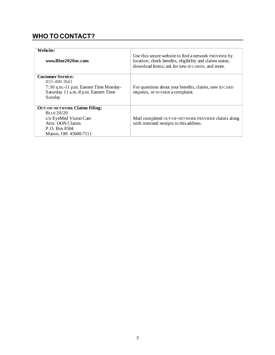# <span id="page-6-0"></span>**WHO TO CONTACT?**

| Website:<br>www.Blue2020nc.com                                                                                                              | Use this secure website to find a network PROVIDER by<br>location; check benefits, eligibility and claims status;<br>download forms; ask for new ID CARDS; and more. |
|---------------------------------------------------------------------------------------------------------------------------------------------|----------------------------------------------------------------------------------------------------------------------------------------------------------------------|
| <b>Customer Service:</b><br>855-400-3641<br>7:30 a.m.-11 p.m. Eastern Time Monday-<br>Saturday 11 a.m.-8 p.m. Eastern Time<br>Sunday        | For questions about your benefits, claims, new ID CARD<br>requests, or to voice a complaint.                                                                         |
| <b>OUT-OF-NETWORK Claims Filing:</b><br>BLUE $20/20$<br>c/o EyeMed Vision Care<br>Attn: OON Claims<br>P.O. Box 8504<br>Mason, OH 45040-7111 | Mail completed OUT-OF-NETWORK PROVIDER claims along<br>with itemized receipts to this address.                                                                       |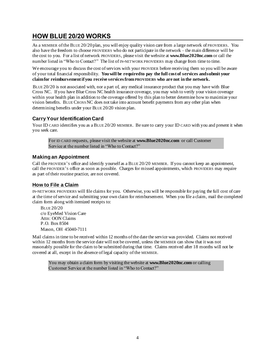# <span id="page-7-0"></span>**HOW BLUE 20/20 WORKS**

As a MEMBER of the BLUE 20/20 plan, you will enjoy quality vision care from a large network of PROVIDERS. You also have the freedom to choose PROVIDERS who do not participate in the network – the main difference will be the cost to you. For a list of network PROVIDERS, please visit the website at **www.Blue2020nc.com** or call the number listed in "Who to Contact?" The list of IN-NETWORK PROVIDERS may change from time to time.

We encourage you to discuss the cost of services with your PROVIDER before receiving them so you will be aware of your total financial responsibility. **You will be required to pay the full cost of services and submit your claim for reimbursement if you receive services from PROVIDERS who are not in the network.** 

BLUE 20/20 is not associated with, nor a part of, any medical insurance product that you may have with Blue Cross NC. If you have Blue Cross NC health insurance coverage, you may wish to verify your vision coverage within your health plan in addition to the coverage offered by this plan to better determine how to maximize your vision benefits. BLUE CROSS NC does not take into account benefit payments from any other plan when determining benefits under your BLUE 20/20 vision plan.

### <span id="page-7-1"></span>**Carry Your Identification Card**

Your ID CARD identifies you as a BLUE 20/20 MEMBER. Be sure to carry your ID CARD with you and present it when you seek care.

For ID CARD requests, please visit the website at **www.Blue2020nc.com** or call Customer Service at the number listed in "Who to Contact?"

### <span id="page-7-2"></span>**Making an Appointment**

Call the PROVIDER'S office and identify yourself as a BLUE 20/20 MEMBER. If you cannot keep an appointment, call the PROVIDER'S office as soon as possible. Charges for missed appointments, which PROVIDERS may require as part of their routine practice, are not covered.

### <span id="page-7-3"></span>**How to File a Claim**

IN-NETWORK PROVIDERS will file claims for you. Otherwise, you will be responsible for paying the full cost of care at the time of service and submitting your own claim for reimbursement. When you file a claim, mail the completed claim form along with itemized receipts to:

BLUE 20/20 c/o EyeMed Vision Care Attn: OON Claims P.O. Box 8504 Mason, OH 45040-7111

Mail claims in time to be received within 12 months of the date the service was provided. Claims not received within 12 months from the service date will not be covered, unless the MEMBER can show that it was not reasonably possible for the claim to be submitted during that time. Claims received after 18 months will not be covered at all, except in the absence of legal capacity of the MEMBER.

You may obtain a claim form by visiting the website at **www.Blue2020nc.com** or calling Customer Service at the number listed in "Who to Contact?"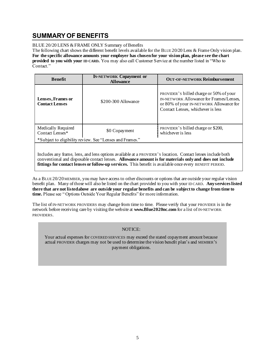# <span id="page-8-0"></span>**SUMMARY OF BENEFITS**

BLUE 20/20 LENS & FRAME ONLY Summary of Benefits

The following chart shows the different benefit levels available for the BLUE 20/20 Lens & Frame Only vision plan. **For the specific allowance amounts your employer has chosen for your vision plan, please see the chart provided to you with your ID CARD.** You may also call Customer Service at the number listed in "Who to Contact."

| <b>Benefit</b>                                           | <b>IN-NETWORK Copayment or</b><br><b>Allowance</b> | <b>OUT-OF-NETWORK Reimbursement</b>                                                                                                                                |
|----------------------------------------------------------|----------------------------------------------------|--------------------------------------------------------------------------------------------------------------------------------------------------------------------|
| Lenses, Frames or<br><b>Contact Lenses</b>               | \$200-300 Allowance                                | PROVIDER's billed charge or 50% of your<br>IN-NETWORK Allowance for Frames/Lenses.<br>or 80% of your IN-NETWORK Allowance for<br>Contact Lenses, whichever is less |
| Medically Required<br>Contact Lenses*                    | \$0 Copayment                                      | PROVIDER's billed charge or \$200,<br>whichever is less                                                                                                            |
| *Subject to eligibility review. See "Lenses and Frames." |                                                    |                                                                                                                                                                    |
|                                                          |                                                    |                                                                                                                                                                    |

Includes any frame, lens, and lens options available at a PROVIDER'S location. Contact lenses include both conventional and disposable contact lenses. **Allowance amount is for materials only and does not include fittings for contact lenses or follow-up services.** This benefit is available once every BENEFIT PERIOD.

As a BLUE 20/20 MEMBER, you may have access to other discounts or options that are outside your regular vision benefit plan. Many of those will also be listed on the chart provided to you with your ID CARD. **Any services listed there that are not listed above are outside your regular benefits and can be subject to change from time to time.** Please see " Options Outside Your Regular Benefits" for more information.

The list of IN-NETWORK PROVIDERS may change from time to time. Please verify that your PROVIDER is in the network before receiving care by visiting the website at **www.Blue2020nc.com** for a list of IN-NETWORK PROVIDERS.

NOTICE:

Your actual expenses for COVERED SERVICES may exceed the stated copayment amount because actual PROVIDER charges may not be used to determine the vision benefit plan's and MEMBER'S payment obligations.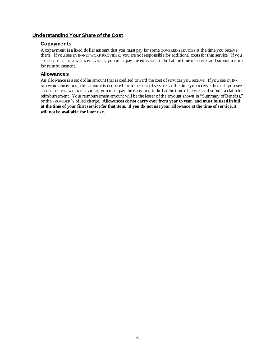### <span id="page-9-1"></span><span id="page-9-0"></span>**Understanding Your Share of the Cost**

### **Copayments**

A copayment is a fixed dollar amount that you must pay for some COVERED SERVICES at the time you receive them. If you see an IN-NETWORK PROVIDER, you are not responsible for additional costs for that service. If you see an OUT-OF-NETWORK PROVIDER, you must pay the PROVIDER in full at the time of service and submit a claim for reimbursement.

### <span id="page-9-2"></span>**Allowances**

An allowance is a set dollar amount that is credited toward the cost of services you receive. If you see an IN-NETWORK PROVIDER, this amount is deducted from the cost of services at the time you receive them. If you see an OUT-OF-NETWORK PROVIDER, you must pay the PROVIDER in full at the time of service and submit a claim for reimbursement. Your reimbursement amount will be the lesser of the amount shown in "Summary of Benefits," or the PROVIDER'S billed charge. **Allowances do not carry over from year to year, and must be used in full at the time of your first service for that item. If you do not use your allowance at the time of service, it will not be available for later use.**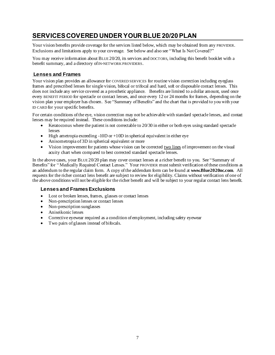# <span id="page-10-0"></span>**SERVICES COVERED UNDER YOUR BLUE 20/20 PLAN**

Your vision benefits provide coverage for the services listed below, which may be obtained from any PROVIDER. Exclusions and limitations apply to your coverage. See below and also see "What Is Not Covered?"

You may receive information about BLUE 20/20, its services and DOCTORS, including this benefit booklet with a benefit summary, and a directory of IN-NETWORK PROVIDERS.

# <span id="page-10-1"></span>**Lenses and Frames**

Your vision plan provides an allowance for COVERED SERVICES for routine vision correction including eyeglass frames and prescribed lenses for single vision, bifocal or trifocal and hard, soft or disposable contact lenses. This does not include any service covered as a prosthetic appliance. Benefits are limited to a dollar amount, used once every BENEFIT PERIOD for spectacle or contact lenses, and once every 12 or 24 months for frames, depending on the vision plan your employer has chosen. See "Summary of Benefits" and the chart that is provided to you with your ID CARD for your specific benefits.

For certain conditions of the eye, vision correction may not be achievable with standard spectacle lenses, and contact lenses may be required instead. These conditions include:

- Keratoconus where the patient is not correctable to 20/30 in either or both eyes using standard spectacle lenses
- High ametropia exceeding  $-10D$  or  $+10D$  in spherical equivalent in either eye
- Anisometropia of 3D in spherical equivalent or more
- Vision improvement for patients whose vision can be corrected two lines of improvement on the visual acuity chart when compared to best corrected standard spectacle lenses.

In the above cases, your BLUE 20/20 plan may cover contact lenses at a richer benefit to you. See "Summary of Benefits" for " Medically Required Contact Lenses." Your PROVIDER must submit verification of these conditions as an addendum to the regular claim form. A copy of the addendum form can be found at **www.Blue2020nc.com**. All requests for the richer contact lens benefit are subject to review for eligibility. Claims without verification of one of the above conditions will not be eligible for the richer benefit and will be subject to your regular contact lens benefit.

# <span id="page-10-2"></span>**Lenses and Frames Exclusions**

- Lost or broken lenses, frames, glasses or contact lenses
- Non-prescription lenses or contact lenses
- Non-prescription sunglasses
- Aniseikonic lenses
- Corrective eyewear required as a condition of employment, including safety eyewear
- Two pairs of glasses instead of bifocals.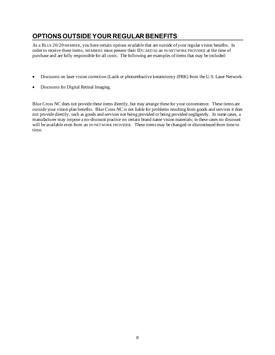# <span id="page-11-0"></span>**OPTIONS OUTSIDE YOUR REGULAR BENEFITS**

As a BLUE 20/20 MEMBER, you have certain options available that are outside of your regular vision benefits. In order to receive these items, MEMBERS must present their IDCARD to an IN-NETWORK PROVIDER at the time of purchase and are fully responsible for all costs. The following are examples of items that may be included:

- Discounts on laser vision correction (Lasik or photorefractive keratectomy (PRK) from the U.S. Laser Network.
- Discounts for Digital Retinal Imaging.

Blue Cross NC does not provide these items directly, but may arrange these for your convenience. These items are outside your vision plan benefits. Blue Cross NC is not liable for problems resulting from goods and services it does not provide directly, such as goods and services not being provided or being provided negligently. In some cases, a manufacturer may impose a no-discount practice on certain brand name vision materials; in these cases no discount will be available even from an IN-NETWORK PROVIDER. These items may be changed or discontinued from time to time.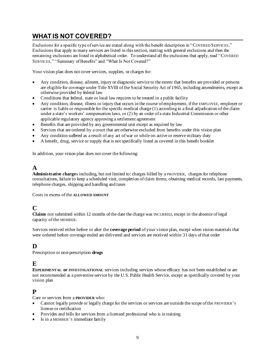# <span id="page-12-0"></span>**WHAT IS NOT COVERED?**

Exclusions for a specific type of service are stated along with the benefit description in "COVERED SERVICES." Exclusions that apply to many services are listed in this section, starting with general exclusions and then the remaining exclusions are listed in alphabetical order. To understand all the exclusions that apply, read "COVERED SERVICES," "Summary of Benefits" and "What Is Not Covered?"

Your vision plan does not cover services, supplies, or charges for:

- Any condition, disease, ailment, injury or diagnostic service to the extent that benefits are provided or persons are eligible for coverage under Title XVIII of the Social Security Act of 1965, including amendments, except as otherwise provided by federal law
- Conditions that federal, state or local law requires to be treated in a public facility
- Any condition, disease, illness or injury that occurs in the course of employment, if the EMPLOYEE, employer or carrier is liable or responsible for the specific medical charge (1) according to a final adjudication of the claim under a state's workers' compensation laws, or (2) by an order of a state Industrial Commission or other applicable regulatory agency approving a settlement agreement
- Benefits that are provided by any governmental unit except as required by law
- Services that are ordered by a court that are otherwise excluded from benefits under this vision plan
- Any condition suffered as a result of any act of war or while on active or reserve military duty
- A benefit, drug, service or supply that is not specifically listed as covered in this benefit booklet

In addition, your vision plan does not cover the following:

# **A**

**Administrative charge**s including, but not limited to: charges billed by a PROVIDER, charges for telephone consultations, failure to keep a scheduled visit, completion of claim forms, obtaining medical records, late payments, telephone charges, shipping and handling and taxes

Costs in excess of the **ALLOWED AMOUNT**

# **C**

**Claims** not submitted within 12 months of the date the charge was INCURRED, except in the absence of legal capacity of the MEMBER.

Services received either before or after the **coverage period** of your vision plan, except when vision materials that were ordered before coverage ended are delivered and services are received within 31 days of that order

# **D**

Prescription or non-prescription **drugs**

# **E**

**EXPERIMENTAL or INVESTIGATIONAL** services including services whose efficacy has not been established or are not recommended as a preventive service by the U.S. Public Health Service, except as specifically covered by your vision plan

# **P**

Care or services from a **PROVIDER** who:

- Cannot legally provide or legally charge for the services or services are outside the scope of the PROVIDER'S license or certification
- Provides and bills for services from a licensed professional who is in training
- Is in a MEMBER's immediate family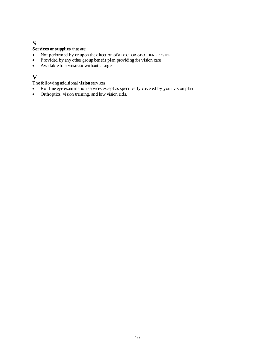# **S**

**Services or supplies** that are:

- Not performed by or upon the direction of a DOCTOR or OTHER PROVIDER
- Provided by any other group benefit plan providing for vision care
- Available to a MEMBER without charge.

# **V**

The following additional **vision** services:

- Routine eye examination services except as specifically covered by your vision plan
- Orthoptics, vision training, and low vision aids.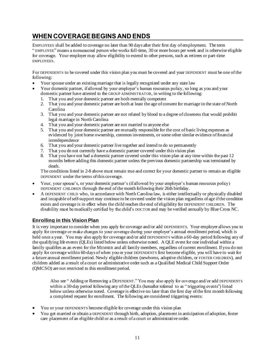# <span id="page-14-0"></span>**WHEN COVERAGE BEGINS AND ENDS**

EMPLOYEES shall be added to coverage no later than 90 days after their first day of employment. The term " EMPLOYEE" means a nonseasonal person who works full-time, 30 or more hours per week and is otherwise eligible for coverage. Your employer may allow eligibility to extend to other persons, such as retirees or part-time EMPLOYEES.

For DEPENDENTS to be covered under this vision plan you must be covered and your DEPENDENT must be one of the following:

- Your spouse under an existing marriage that is legally recognized under any state law
- Your domestic partner, if allowed by your employer's human resources policy, so long as you and your domestic partner have attested to the GROUP ADMINISTRATOR, in writing to the following:
	- 1. That you and your domestic partner are both mentally competent
	- 2. That you and your domestic partner are both at least the age of consent for marriage in the state of North Carolina
	- 3. That you and your domestic partner are not related by blood to a degree of closeness that would prohibit legal marriage in North Carolina
	- 4. That you and your domestic partner are not married to anyone else
	- 5. That you and your domestic partner are mutually responsible for the cost of basic living expenses as evidenced by joint home ownership, common investments, or some other similar evidence of financial interdependence
	- 6. That you and your domestic partner live together and intend to do so permanently
	- 7. That you do not currently have a domestic partner covered under this vision plan
	- 8. That you have not had a domestic partner covered under this vision plan at any time within the past 12 months before adding this domestic partner unless the previous domestic partnership was terminated by death.

The conditions listed in 2-8 above must remain true and correct for your domestic partner to remain an eligible DEPENDENT under the terms of this coverage.

- Your, your spouse's, or your domestic partner's (if allowed by your employer's human resources policy) DEPENDENT CHILDREN through the end ofthe month following their 26th birthday.
- A DEPENDENT CHILD who, in accordance with North Carolina law, is either intellectually or physically disabled and incapable of self-support may continue to be covered under the vision plan regardless of age if the condition exists and coverage is in effect when the child reaches the end of eligibility for DEPENDENT CHILDREN. The disability must be medically certified by the child's DOCTOR and may be verified annually by Blue Cross NC.

# <span id="page-14-1"></span>**Enrolling in this Vision Plan**

It is very important to consider when you apply for coverage and/or add DEPENDENTS. Your employer allows you to apply for coverage or make changes to your coverage during your employer's annual enrollment period, which is held once a year. You may also apply for coverage and/or add DEPENDENTS within a 60-day period following any of the qualifying life events (QLEs) listed below unless otherwise noted. A QLE event for one individual within a family qualifies as an event for the MEMBER and all family members, regardless of current enrollment. If you do not apply for coverage within 60-days of when you or your DEPENDENTS first become eligible, you will have to wait for a future annual enrollment period. Newly eligible children (newborns, adoptive children, or FOSTER CHILDREN), and children added as a result of a court or administrative order such as a Qualified Medical Child Support Order (QMCSO) are not restricted to this enrollment period.

Also see " Adding or Removing a DEPENDENT." You may also apply for coverage and/or add DEPENDENTS within a 30-day period following any of the QLEs (hereafter referred to as " triggering events") listed below unless otherwise noted. Coverage is effective no later than the first day of the first month following a completed request for enrollment. The following are considered triggering events:

- You or your DEPENDENTS become eligible for coverage under this vision plan
- You get married or obtain a DEPENDENT through birth, adoption, placement in anticipation of adoption, foster care placement of an eligible child or as a result of a court or administrative order.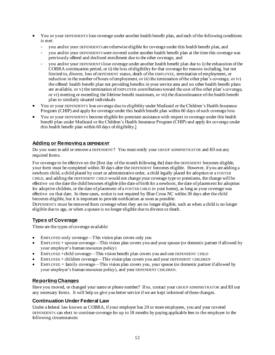- You or your DEPENDENTS lose coverage under another health benefit plan, and each of the following conditions is met:
	- you and/or your DEPENDENTS are otherwise eligible for coverage under this health benefit plan, and
	- you and/or your DEPENDENTS were covered under another health benefit plan at the time this coverage was previously offered and declined enrollment due to the other coverage, and
	- you and/or your DEPENDENTS lose coverage under another health benefit plan due to i) the exhaustion of the COBRA continuation period, or ii) the loss of eligibility for that coverage for reasons including, but not limited to, divorce, loss of DEPENDENT status, death of the EMPLOYEE, termination of employment, or reduction in the number of hours of employment, or iii) the termination of the other plan's coverage, or iv) the offered health benefit plan not providing benefits in your service area and no other health benefit plans are available, or v) the termination of EMPLOYER contributions toward the cost of the other plan's coverage, or vi) meeting or exceeding the lifetime benefit maximum, or vii) the discontinuance of the health benefit plan to similarly situated individuals
- You or your DEPENDENTS lose coverage due to eligibility under Medicaid or the Children's Health Insurance Program (CHIP) and apply for coverage under this health benefit plan within 60 days of such coverage loss
- You or your DEPENDENTS become eligible for premium assistance with respect to coverage under this health benefit plan under Medicaid or the Children's Health Insurance Program (CHIP) and apply for coverage under this health benefit plan within 60 days of eligibility.]

# <span id="page-15-0"></span>**Adding or Removing a DEPENDENT**

Do you want to add or remove a DEPENDENT? You must notify your GROUP ADMINISTRATOR and fill out any required forms.

For coverage to be effective on the [first day of the month following the] date the DEPENDENT becomes eligible, your form must be completed within 30 days after the DEPENDENT becomes eligible. However, if you are adding a newborn child, a child placed by court or administrative order, a child legally placed for adoption or a FOSTER CHILD, and adding the DEPENDENT CHILD would not change your coverage type or premiums, the change will be effective on the date the child becomes eligible (the date of birth for a newborn, the date of placement for adoption for adoptive children, or the date of placement of a FOSTER CHILD in your home), as long as your coverage was effective on that date. In these cases, notice is not required by Blue Cross NC within 30 days after the child becomes eligible, but it is important to provide notification as soon as possible.

DEPENDENTS must be removed from coverage when they are no longer eligible, such as when a child is no longer eligible due to age, or when a spouse is no longer eligible due to divorce or death.

# <span id="page-15-1"></span>**Types of Coverage**

These are the types of coverage available:

- EMPLOYEE-only coverage—This vision plan covers only you
- EMPLOYEE + spouse coverage—This vision plan covers you and your spouse (or domestic partner if allowed by your employer's human resources policy)
- EMPLOYEE +child coverage—This vision benefit plan covers you and one DEPENDENT CHILD
- EMPLOYEE + children coverage—This vision plan covers you and your DEPENDENT CHILDREN
- EMPLOYEE + family coverage—This vision plan covers you, your spouse (or domestic partner if allowed by your employer's human resources policy), and your DEPENDENT CHILDREN.

# <span id="page-15-2"></span>**Reporting Changes**

Have you moved, or changed your name or phone number? If so, contact your GROUP ADMINISTRATOR and fill out any necessary forms. It will help us give you better service if we are kept informed of these changes.

# <span id="page-15-3"></span>**Continuation Under Federal Law**

Under a federal law known as COBRA, if your employer has 20 or more employees, you and your covered DEPENDENTS can elect to continue coverage for up to 18 months by paying applicable fees to the employer in the following circumstances: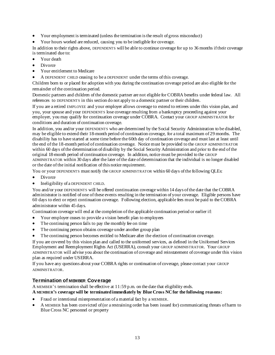- Your employment is terminated (unless the termination is the result of gross misconduct)
- Your hours worked are reduced, causing you to be ineligible for coverage.

In addition to their rights above, DEPENDENTS will be able to continue coverage for up to 36 months if their coverage is terminated due to:

- Your death
- Divorce
- Your entitlement to Medicare
- A DEPENDENT CHILD ceasing to be a DEPENDENT under the terms of this coverage.

Children born to or placed for adoption with you during the continuation coverage period are also eligible for the remainder of the continuation period.

Domestic partners and children of the domestic partner are not eligible for COBRA benefits under federal law. All references to DEPENDENTS in this section do not apply to a domestic partner or their children.

If you are a retired EMPLOYEE and your employer allows coverage to extend to retirees under this vision plan, and you, your spouse and your DEPENDENTS lose coverage resulting from a bankruptcy proceeding against your employer, you may qualify for continuation coverage under COBRA. Contact your GROUP ADMINISTRATOR for conditions and duration of continuation coverage.

In addition, you and/or your DEPENDENTS who are determined by the Social Security Administration to be disabled, may be eligible to extend their 18-month period of continuation coverage, for a total maximum of 29 months. The disability has to have started at some time before the 60th day of continuation coverage and must last at least until the end of the 18-month period of continuation coverage. Notice must be provided to the GROUP ADMINISTRATOR within 60 days of the determination of disability by the Social Security Administration and prior to the end of the original 18-month period of continuation coverage. In addition, notice must be provided to the GROUP ADMINISTRATOR within 30 days after the later of the date of determination that the individual is no longer disabled or the date of the initial notification of this notice requirement.

You or your DEPENDENTS must notify the GROUP ADMINISTRATOR within 60 days of the following QLEs:

- **Divorce**
- Ineligibility of a DEPENDENT CHILD.

You and/or your DEPENDENTS will be offered continuation coverage within 14 days of the date that the COBRA administrator is notified of one of these events resulting in the termination of your coverage. Eligible persons have 60 days to elect or reject continuation coverage. Following election, applicable fees must be paid to the COBRA administrator within 45 days.

Continuation coverage will end at the completion of the applicable continuation period or earlier if:

- Your employer ceases to provide a vision benefit plan to employees
- The continuing person fails to pay the monthly fee on time
- The continuing person obtains coverage under another group plan
- The continuing person becomes entitled to Medicare after the election of continuation coverage.

If you are covered by this vision plan and called to the uniformed services, as defined in the Uniformed Services Employment and Reemployment Rights Act (USERRA), consult your GROUP ADMINISTRATOR. Your GROUP ADMINISTRATOR will advise you about the continuation of coverage and reinstatement of coverage under this vision plan as required under USERRA.

If you have any questions about your COBRA rights or continuation of coverage, please contact your GROUP ADMINISTRATOR.

# <span id="page-16-0"></span>**Termination of MEMBER Coverage**

A MEMBER'S termination shall be effective at 11:59 p.m. on the date that eligibility ends. **A MEMBER'S coverage will be terminated immediately by Blue Cross NCfor the following reasons:**

- Fraud or intentional misrepresentation of a material fact by a MEMBER.
- A MEMBER has been convicted of (or a restraining order has been issued for) communicating threats of harm to Blue Cross NC personnel or property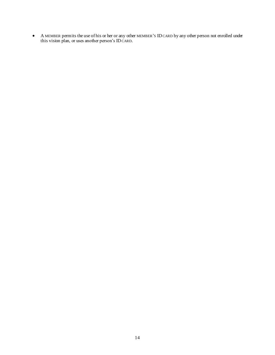• A MEMBER permits the use of his or her or any other MEMBER'S IDCARD by any other person not enrolled under this vision plan, or uses another person's IDCARD.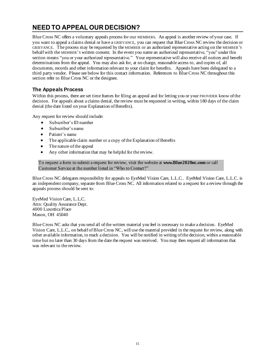# <span id="page-18-0"></span>**NEED TO APPEAL OUR DECISION?**

Blue Cross NC offers a voluntary appeals process for our MEMBERS. An appeal is another review of your case. If you want to appeal a claims denial or have a GRIEVANCE, you can request that Blue Cross NC review the decision or GRIEVANCE. The process may be requested by the MEMBER or an authorized representative acting on the MEMBER'S behalf with the MEMBER'S written consent. In the event you name an authorized representative, "you" under this section means "you or your authorized representative." Your representative will also receive all notices and benefit determinations from the appeal. You may also ask for, at no charge, reasonable access to, and copies of, all documents, records and other information relevant to your claim for benefits. Appeals have been delegated to a third party vendor. Please see below for this contact information. References to Blue Cross NC throughout this section refer to Blue Cross NC or the designee.

# <span id="page-18-1"></span>**The Appeals Process**

Within this process, there are set time frames for filing an appeal and for letting you or your PROVIDER know of the decision. For appeals about a claims denial, the review must be requested in writing, within 180 days of the claim denial (the date listed on your Explanation of Benefits).

Any request for review should include:

- Subscriber's ID number
- Subscriber's name
- Patient's name
- The applicable claim number or a copy of the Explanation of Benefits
- The nature of the appeal
- Any other information that may be helpful for the review.

To request a form to submit a request for review, visit the website at **www.Blue2020nc.com** or call Customer Service at the number listed in "Who to Contact?"

Blue Cross NC delegates responsibility for appeals to EyeMed Vision Care, L.L.C.. EyeMed Vision Care, L.L.C. is an independent company, separate from Blue Cross NC. All information related to a request for a review through the appeals process should be sent to:

EyeMed Vision Care, L.L.C. Attn: Quality Assurance Dept. 4000 Luxottica Place Mason, OH 45040

Blue Cross NC asks that you send all of the written material you feel is necessary to make a decision. EyeMed Vision Care, L.L.C., on behalf of Blue Cross NC, will use the material provided in the request for review, along with other available information, to reach a decision. You will be notified in writing of the decision, within a reasonable time but no later than 30 days from the date the request was received. You may then request all information that was relevant to the review.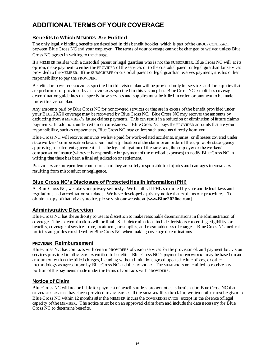# <span id="page-19-0"></span>**ADDITIONAL TERMS OF YOUR COVERAGE**

# <span id="page-19-1"></span>**Benefits to Which MEMBERS Are Entitled**

The only legally binding benefits are described in this benefit booklet, which is part of the GROUP CONTRACT between Blue Cross NC and your employer. The terms of your coverage cannot be changed or waived unless Blue Cross NC agrees in writing to the change.

If a MEMBER resides with a custodial parent or legal guardian who is not the SUBSCRIBER, Blue Cross NC will, at its option, make payment to either the PROVIDER of the services or to the custodial parent or legal guardian for services provided to the MEMBER. If the SUBSCRIBER or custodial parent or legal guardian receives payment, it is his or her responsibility to pay the PROVIDER.

Benefits for COVERED SERVICES specified in this vision plan will be provided only for services and for supplies that are performed or provided by a PROVIDER as specified in this vision plan. Blue Cross NC establishes coverage determination guidelines that specify how services and supplies must be billed in order for payment to be made under this vision plan.

Any amounts paid by Blue Cross NC for noncovered services or that are in excess of the benefit provided under your BLUE 20/20 coverage may be recovered by Blue Cross NC. Blue Cross NC may recover the amounts by deducting from a MEMBER'S future claims payments. This can result in a reduction or elimination of future claims payments. In addition, under certain circumstances, if Blue Cross NC pays the PROVIDER amounts that are your responsibility, such as copayments, Blue Cross NC may collect such amounts directly from you.

Blue Cross NC will recover amounts we have paid for work-related accidents, injuries, or illnesses covered under state workers' compensation laws upon final adjudication of the claim or an order of the applicable state agency approving a settlement agreement. It is the legal obligation of the MEMBER, the employer or the workers' compensation insurer (whoever is responsible for payment of the medical expenses) to notify Blue Cross NC in writing that there has been a final adjudication or settlement.

PROVIDERS are independent contractors, and they are solely responsible for injuries and damages to MEMBERS resulting from misconduct or negligence.

# <span id="page-19-2"></span>**Blue Cross NC's Disclosure of Protected Health Information (PHI)**

At Blue Cross NC, we take your privacy seriously. We handle all PHI as required by state and federal laws and regulations and accreditation standards. We have developed a privacy notice that explains our procedures. To obtain a copy of that privacy notice, please visit our website at [**www.Blue2020nc.com]**.

# <span id="page-19-3"></span>**Administrative Discretion**

Blue Cross NC has the authority to use its discretion to make reasonable determinations in the administration of coverage. These determinations will be final. Such determinations include decisions concerning eligibility for benefits, coverage of services, care, treatment, or supplies, and reasonableness of charges. Blue Cross NC medical policies are guides considered by Blue Cross NC when making coverage determinations.

### <span id="page-19-4"></span>**PROVIDER Reimbursement**

Blue Cross NC has contracts with certain PROVIDERS of vision services for the provision of, and payment for, vision services provided to all MEMBERS entitled to benefits. Blue Cross NC's payment to PROVIDERS may be based on an amount other than the billed charges, including without limitation, agreed upon schedule of fees, or other methodology as agreed upon by Blue Cross NC and the PROVIDER. The MEMBER is not entitled to receive any portion of the payments made under the terms of contracts with PROVIDERS.

### <span id="page-19-5"></span>**Notice of Claim**

Blue Cross NC will not be liable for payment of benefits unless proper notice is furnished to Blue Cross NC that COVERED SERVICES have been provided to a MEMBER. If the MEMBER files the claim, written notice must be given to Blue Cross NC within 12 months after the MEMBER incurs the COVERED SERVICE, except in the absence of legal capacity of the MEMBER. The notice must be on an approved claim form and include the data necessary for Blue Cross NC to determine benefits.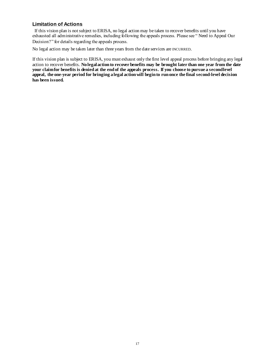### <span id="page-20-0"></span>**Limitation of Actions**

If this vision plan is not subject to ERISA, no legal action may be taken to recover benefits until you have exhausted all administrative remedies, including following the appeals process. Please see " Need to Appeal Our Decision?" for details regarding the appeals process.

No legal action may be taken later than three years from the date services are INCURRED.

If this vision plan is subject to ERISA, you must exhaust only the first level appeal process before bringing any legal action to recover benefits. **No legal action to recover benefits may be brought later than one year from the date your claim for benefits is denied at the end of the appeals process. If you choose to pursue a second level appeal, the one-year period for bringing a legal action will begin to run once the final second-level decision has been issued.**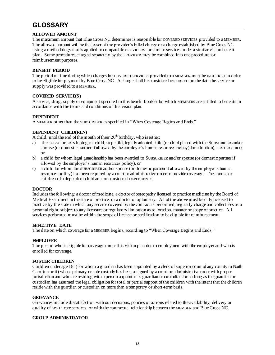# <span id="page-21-0"></span>**GLOSSARY**

### **ALLOWED AMOUNT**

The maximum amount that Blue Cross NC determines is reasonable for COVERED SERVICES provided to a MEMBER. The allowed amount will be the lesser of the provider's billed charge or a charge established by Blue Cross NC using a methodology that is applied to comparable PROVIDERS for similar services under a similar vision benefit plan. Some procedures charged separately by the PROVIDER may be combined into one procedure for reimbursement purposes.

### **BENEFIT PERIOD**

The period of time during which charges for COVERED SERVICES provided to a MEMBER must be INCURRED in order to be eligible for payment by Blue Cross NC. A charge shall be considered INCURRED on the date the service or supply was provided to a MEMBER.

### **COVERED SERVICE(S)**

A service, drug, supply or equipment specified in this benefit booklet for which MEMBERS are entitled to benefits in accordance with the terms and conditions of this vision plan.

### **DEPENDENT**

A MEMBER other than the SUBSCRIBER as specified in "When Coverage Begins and Ends."

### **DEPENDENT CHILD(REN)**

A child, until the end of the month of their  $26<sup>th</sup>$  birthday, who is either:

- a) the SUBSCRIBER'S biological child, stepchild, legally adopted child (or child placed with the SUBSCRIBER and/or spouse (or domestic partner if allowed by the employer's human resources policy) for adoption), FOSTER CHILD, or
- b) a child for whom legal guardianship has been awarded to SUBSCRIBER and/or spouse (or domestic partner if allowed by the employer's human resources policy), or
- c) a child for whom the SUBSCRIBER and/or spouse (or domestic partner if allowed by the employer's human resources policy) has been required by a court or administrative order to provide coverage. The spouse or children of a dependent child are not considered DEPENDENTS.

### **DOCTOR**

Includes the following: a doctor of medicine, a doctor of osteopathy licensed to practice medicine by the Board of Medical Examiners in the state of practice, or a doctor of optometry. All of the above must be duly licensed to practice by the state in which any service covered by the contract is performed, regularly charge and collect fees as a personal right, subject to any licensure or regulatory limitation as to location, manner or scope of practice. All services performed must be within the scope of license or certification to be eligible for reimbursement.

### **EFFECTIVE DATE**

The date on which coverage for a MEMBER begins, according to "When Coverage Begins and Ends."

### **EMPLOYEE**

The person who is eligible for coverage under this vision plan due to employment with the employer and who is enrolled for coverage.

### **FOSTER CHILDREN**

Children under age 18 i) for whom a guardian has been appointed by a clerk of superior court of any county in North Carolina or ii) whose primary or sole custody has been assigned by a court or administrative order with proper jurisdiction and who are residing with a person appointed as guardian or custodian for so long as the guardian or custodian has assumed the legal obligation for total or partial support of the children with the intent that the children reside with the guardian or custodian on more than a temporary or short-term basis.

### **GRIEVANCE**

Grievances include dissatisfaction with our decisions, policies or actions related to the availability, delivery or quality of health care services, or with the contractual relationship between the MEMBER and Blue Cross NC.

### **GROUP ADMINISTRATOR**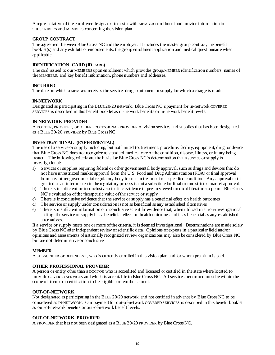A representative of the employer designated to assist with MEMBER enrollment and provide information to SUBSCRIBERS and MEMBERS concerning the vision plan.

#### **GROUP CONTRACT**

The agreement between Blue Cross NC and the employer. It includes the master group contract, the benefit booklet(s) and any exhibits or endorsements, the group enrollment application and medical questionnaire when applicable.

#### **IDENTIFICATION CARD (ID CARD)**

The card issued to our MEMBERS upon enrollment which provides group/MEMBER identification numbers, names of the MEMBERS, and key benefit information, phone numbers and addresses.

#### **INCURRED**

The date on which a MEMBER receives the service, drug, equipment or supply for which a charge is made.

#### **IN-NETWORK**

Designated as participating in the BLUE 20/20 network. Blue Cross NC's payment for in-network COVERED SERVICES is described in this benefit booklet as in-network benefits or in-network benefit levels.

#### **IN-NETWORK PROVIDER**

A DOCTOR, PROVIDER, or OTHER PROFESSIONAL PROVIDER of vision services and supplies that has been designated as a BLUE 20/20 PROVIDER by Blue Cross NC.

#### **INVESTIGATIONAL (EXPERIMENTAL)**

The use of a service or supply including, but not limited to, treatment, procedure, facility, equipment, drug, or device that Blue Cross NC does not recognize as standard medical care of the condition, disease, illness, or injury being treated. The following criteria are the basis for Blue Cross NC's determination that a service or supply is investigational:

- a) Services or supplies requiring federal or other governmental body approval, such as drugs and devices that do not have unrestricted market approval from the U.S. Food and Drug Administration (FDA) or final approval from any other governmental regulatory body for use in treatment of a specified condition. Any approval that is granted as an interim step in the regulatory process is not a substitute for final or unrestricted market approval.
- b) There is insufficient or inconclusive scientific evidence in peer-reviewed medical literature to permit Blue Cross NC's evaluation of the therapeutic value of the service or supply
- c) There is inconclusive evidence that the service or supply has a beneficial effect on health outcomes
- d) The service or supply under consideration is not as beneficial as any established alternatives
- e) There is insufficient information or inconclusive scientific evidence that, when utilized in a non-investigational setting, the service or supply has a beneficial effect on health outcomes and is as beneficial as any established alternatives.

If a service or supply meets one or more of the criteria, it is deemed investigational. Determinations are made solely by Blue Cross NC after independent review of scientific data. Opinions of experts in a particular field and/or opinions and assessments of nationally recognized review organizations may also be considered by Blue Cross NC but are not determinative or conclusive.

#### **MEMBER**

A SUBSCRIBER or DEPENDENT, who is currently enrolled in this vision plan and for whom premium is paid.

### **OTHER PROFESSIONAL PROVIDER**

A person or entity other than a DOCTOR who is accredited and licensed or certified in the state where located to provide COVERED SERVICES and which is acceptable to Blue Cross NC. All services performed must be within the scope of license or certification to be eligible for reimbursement.

#### **OUT-OF-NETWORK**

Not designated as participating in the BLUE 20/20 network, and not certified in advance by Blue Cross NC to be considered as IN-NETWORK. Our payment for out-of-network COVERED SERVICES is described in this benefit booklet as out-of-network benefits or out-of-network benefit levels.

### **OUT-OF-NETWORK PROVIDER**

A PROVIDER that has not been designated as a BLUE 20/20 PROVIDER by Blue Cross NC.